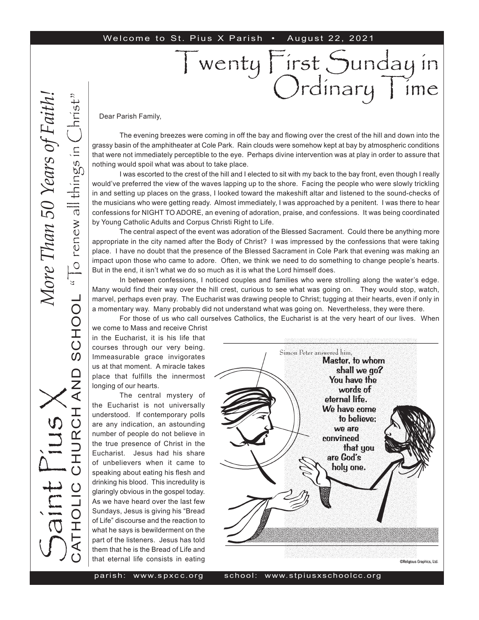#### Welcome to St. Pius X Parish • August 22, 2021

Dear Parish Family,

The evening breezes were coming in off the bay and flowing over the crest of the hill and down into the grassy basin of the amphitheater at Cole Park. Rain clouds were somehow kept at bay by atmospheric conditions that were not immediately perceptible to the eye. Perhaps divine intervention was at play in order to assure that nothing would spoil what was about to take place.

Twenty First Sunday in

Ordinary Time

I was escorted to the crest of the hill and I elected to sit with my back to the bay front, even though I really would've preferred the view of the waves lapping up to the shore. Facing the people who were slowly trickling in and setting up places on the grass, I looked toward the makeshift altar and listened to the sound-checks of the musicians who were getting ready. Almost immediately, I was approached by a penitent. I was there to hear confessions for NIGHT TO ADORE, an evening of adoration, praise, and confessions. It was being coordinated by Young Catholic Adults and Corpus Christi Right to Life.

The central aspect of the event was adoration of the Blessed Sacrament. Could there be anything more appropriate in the city named after the Body of Christ? I was impressed by the confessions that were taking place. I have no doubt that the presence of the Blessed Sacrament in Cole Park that evening was making an impact upon those who came to adore. Often, we think we need to do something to change people's hearts. But in the end, it isn't what we do so much as it is what the Lord himself does.

In between confessions, I noticed couples and families who were strolling along the water's edge. Many would find their way over the hill crest, curious to see what was going on. They would stop, watch, marvel, perhaps even pray. The Eucharist was drawing people to Christ; tugging at their hearts, even if only in a momentary way. Many probably did not understand what was going on. Nevertheless, they were there.

For those of us who call ourselves Catholics, the Eucharist is at the very heart of our lives. When

we come to Mass and receive Christ in the Eucharist, it is his life that courses through our very being. Immeasurable grace invigorates us at that moment. A miracle takes place that fulfills the innermost longing of our hearts.

The central mystery of the Eucharist is not universally understood. If contemporary polls are any indication, an astounding number of people do not believe in the true presence of Christ in the Eucharist. Jesus had his share of unbelievers when it came to speaking about eating his flesh and drinking his blood. This incredulity is glaringly obvious in the gospel today. As we have heard over the last few Sundays, Jesus is giving his "Bread of Life" discourse and the reaction to what he says is bewilderment on the part of the listeners. Jesus has told them that he is the Bread of Life and that eternal life consists in eating



parish: www. s px c c.or

S

aint Pius X

CATHOLIC CHURCH AND SCHOOL

エ<br>〇

AND

" $\overline{C}$  renew all things in  $\overline{C}$ hrist"

SCHOOL "To renew all things in

*More Than 50 Years of Faith!*More Than 50 Years of Faith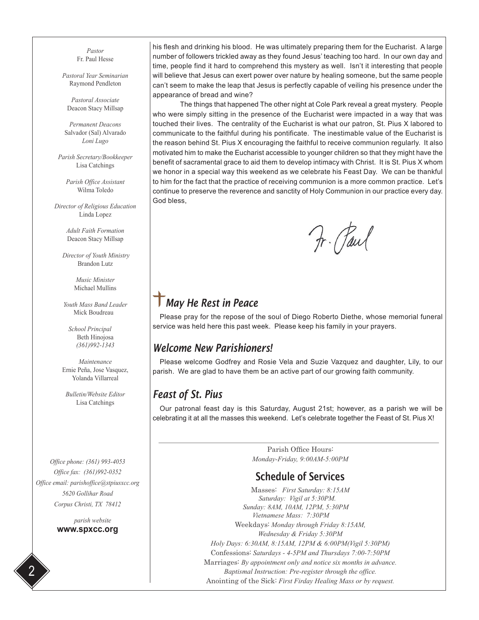*Pastor* Fr. Paul Hesse

*Pastoral Year Seminarian* Raymond Pendleton

*Pastoral Associate* Deacon Stacy Millsap

*Permanent Deacons* Salvador (Sal) Alvarado *Loni Lugo*

*Parish Secretary/Bookkeeper* Lisa Catchings

*Parish Office Assistant* Wilma Toledo

*Director of Religious Education* Linda Lopez

> *Adult Faith Formation* Deacon Stacy Millsap

 *Director of Youth Ministry* Brandon Lutz

> *Music Minister* Michael Mullins

*Youth Mass Band Leader* Mick Boudreau

 *School Principal* Beth Hinojosa *(361)992-1343*

*Maintenance* Ernie Peña, Jose Vasquez, Yolanda Villarreal

*Bulletin/Website Editor* Lisa Catchings

*Office phone: (361) 993-4053 Office fax: (361)992-0352 Office email: parishoffice@stpiusxcc.org 5620 Gollihar Road Corpus Christi, TX 78412*

> *parish website* **www.spxcc.org**

his flesh and drinking his blood. He was ultimately preparing them for the Eucharist. A large number of followers trickled away as they found Jesus' teaching too hard. In our own day and time, people find it hard to comprehend this mystery as well. Isn't it interesting that people will believe that Jesus can exert power over nature by healing someone, but the same people can't seem to make the leap that Jesus is perfectly capable of veiling his presence under the appearance of bread and wine?

The things that happened The other night at Cole Park reveal a great mystery. People who were simply sitting in the presence of the Eucharist were impacted in a way that was touched their lives. The centrality of the Eucharist is what our patron, St. Pius X labored to communicate to the faithful during his pontificate. The inestimable value of the Eucharist is the reason behind St. Pius X encouraging the faithful to receive communion regularly. It also motivated him to make the Eucharist accessible to younger children so that they might have the benefit of sacramental grace to aid them to develop intimacy with Christ. It is St. Pius X whom we honor in a special way this weekend as we celebrate his Feast Day. We can be thankful to him for the fact that the practice of receiving communion is a more common practice. Let's continue to preserve the reverence and sanctity of Holy Communion in our practice every day. God bless,

Fr. Paul

# *May He Rest in Peace*

Please pray for the repose of the soul of Diego Roberto Diethe, whose memorial funeral service was held here this past week. Please keep his family in your prayers.

### *Welcome New Parishioners!*

Please welcome Godfrey and Rosie Vela and Suzie Vazquez and daughter, Lily, to our parish. We are glad to have them be an active part of our growing faith community.

## *Feast of St. Pius*

Our patronal feast day is this Saturday, August 21st; however, as a parish we will be celebrating it at all the masses this weekend. Let's celebrate together the Feast of St. Pius X!

> Parish Office Hours: *Monday-Friday, 9:00AM-5:00PM*

## Schedule of Services

Masses: *First Saturday: 8:15AM Saturday: Vigil at 5:30PM. Sunday: 8AM, 10AM, 12PM, 5:30PM Vietnamese Mass: 7:30PM*  Weekdays: *Monday through Friday 8:15AM, Wednesday & Friday 5:30PM Holy Days: 6:30AM, 8:15AM, 12PM & 6:00PM(Vigil 5:30PM)* Confessions: *Saturdays - 4-5PM and Thursdays 7:00-7:50PM* Marriages: *By appointment only and notice six months in advance. Baptismal Instruction: Pre-register through the office.* Anointing of the Sick: *First Firday Healing Mass or by request.*

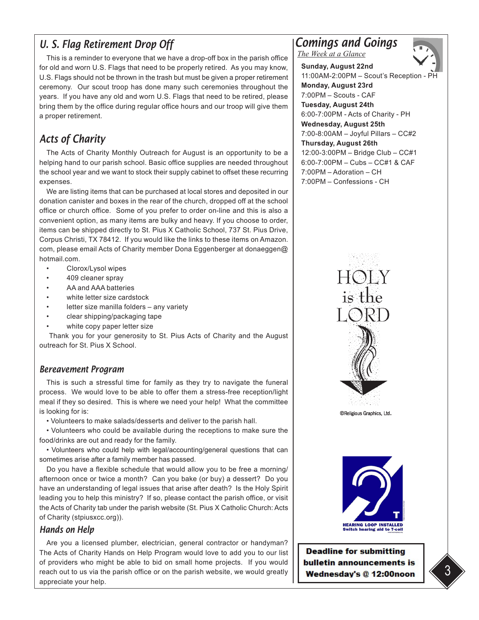## *U. S. Flag Retirement Drop Off*

This is a reminder to everyone that we have a drop-off box in the parish office for old and worn U.S. Flags that need to be properly retired. As you may know, U.S. Flags should not be thrown in the trash but must be given a proper retirement ceremony. Our scout troop has done many such ceremonies throughout the years. If you have any old and worn U.S. Flags that need to be retired, please bring them by the office during regular office hours and our troop will give them a proper retirement.

# *Acts of Charity*

The Acts of Charity Monthly Outreach for August is an opportunity to be a helping hand to our parish school. Basic office supplies are needed throughout the school year and we want to stock their supply cabinet to offset these recurring expenses.

We are listing items that can be purchased at local stores and deposited in our donation canister and boxes in the rear of the church, dropped off at the school office or church office. Some of you prefer to order on-line and this is also a convenient option, as many items are bulky and heavy. If you choose to order, items can be shipped directly to St. Pius X Catholic School, 737 St. Pius Drive, Corpus Christi, TX 78412. If you would like the links to these items on Amazon. com, please email Acts of Charity member Dona Eggenberger at donaeggen@ hotmail.com.

- Clorox/Lysol wipes
- 409 cleaner spray
- AA and AAA batteries
- white letter size cardstock
- letter size manilla folders any variety
- clear shipping/packaging tape
- white copy paper letter size

 Thank you for your generosity to St. Pius Acts of Charity and the August outreach for St. Pius X School.

### *Bereavement Program*

This is such a stressful time for family as they try to navigate the funeral process. We would love to be able to offer them a stress-free reception/light meal if they so desired. This is where we need your help! What the committee is looking for is:

• Volunteers to make salads/desserts and deliver to the parish hall.

• Volunteers who could be available during the receptions to make sure the food/drinks are out and ready for the family.

• Volunteers who could help with legal/accounting/general questions that can sometimes arise after a family member has passed.

Do you have a flexible schedule that would allow you to be free a morning/ afternoon once or twice a month? Can you bake (or buy) a dessert? Do you have an understanding of legal issues that arise after death? Is the Holy Spirit leading you to help this ministry? If so, please contact the parish office, or visit the Acts of Charity tab under the parish website (St. Pius X Catholic Church: Acts of Charity (stpiusxcc.org)).

#### *Hands on Help*

Are you a licensed plumber, electrician, general contractor or handyman? The Acts of Charity Hands on Help Program would love to add you to our list of providers who might be able to bid on small home projects. If you would reach out to us via the parish office or on the parish website, we would greatly appreciate your help.

*Comings and Goings*

*The Week at a Glance*



**Sunday, August 22nd**  11:00AM-2:00PM – Scout's Reception - PH **Monday, August 23rd** 7:00PM – Scouts - CAF **Tuesday, August 24th**  6:00-7:00PM - Acts of Charity - PH **Wednesday, August 25th**  7:00-8:00AM – Joyful Pillars – CC#2 **Thursday, August 26th** 12:00-3:00PM – Bridge Club – CC#1 6:00-7:00PM – Cubs – CC#1 & CAF 7:00PM – Adoration – CH 7:00PM – Confessions - CH





**Deadline for submitting** bulletin announcements is Wednesday's @ 12:00noon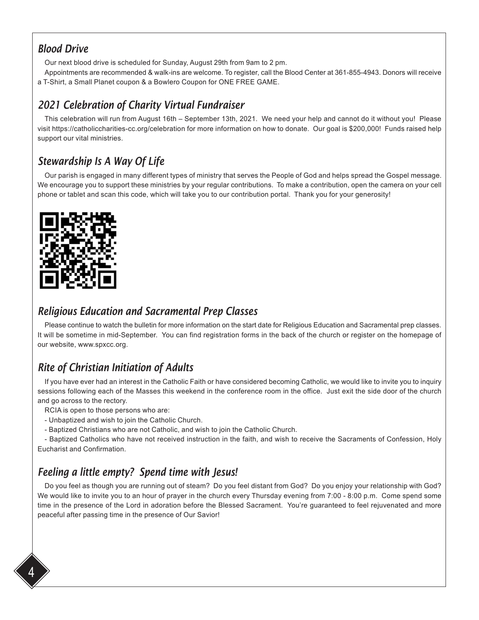## *Blood Drive*

Our next blood drive is scheduled for Sunday, August 29th from 9am to 2 pm.

Appointments are recommended & walk-ins are welcome. To register, call the Blood Center at 361-855-4943. Donors will receive a T-Shirt, a Small Planet coupon & a Bowlero Coupon for ONE FREE GAME.

# *2021 Celebration of Charity Virtual Fundraiser*

This celebration will run from August 16th – September 13th, 2021. We need your help and cannot do it without you! Please visit https://catholiccharities-cc.org/celebration for more information on how to donate. Our goal is \$200,000! Funds raised help support our vital ministries.

# *Stewardship Is A Way Of Life*

Our parish is engaged in many different types of ministry that serves the People of God and helps spread the Gospel message. We encourage you to support these ministries by your regular contributions. To make a contribution, open the camera on your cell phone or tablet and scan this code, which will take you to our contribution portal. Thank you for your generosity!



## *Religious Education and Sacramental Prep Classes*

Please continue to watch the bulletin for more information on the start date for Religious Education and Sacramental prep classes. It will be sometime in mid-September. You can find registration forms in the back of the church or register on the homepage of our website, www.spxcc.org.

# *Rite of Christian Initiation of Adults*

If you have ever had an interest in the Catholic Faith or have considered becoming Catholic, we would like to invite you to inquiry sessions following each of the Masses this weekend in the conference room in the office. Just exit the side door of the church and go across to the rectory.

RCIA is open to those persons who are:

- Unbaptized and wish to join the Catholic Church.
- Baptized Christians who are not Catholic, and wish to join the Catholic Church.

- Baptized Catholics who have not received instruction in the faith, and wish to receive the Sacraments of Confession, Holy Eucharist and Confirmation.

# *Feeling a little empty? Spend time with Jesus!*

Do you feel as though you are running out of steam? Do you feel distant from God? Do you enjoy your relationship with God? We would like to invite you to an hour of prayer in the church every Thursday evening from 7:00 - 8:00 p.m. Come spend some time in the presence of the Lord in adoration before the Blessed Sacrament. You're guaranteed to feel rejuvenated and more peaceful after passing time in the presence of Our Savior!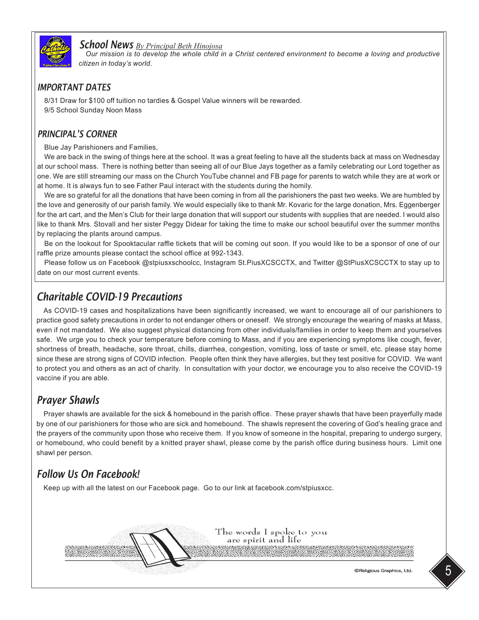

### *School News By Principal Beth Hinojosa*

*Our mission is to develop the whole child in a Christ centered environment to become a loving and productive citizen in today's world.* 

### *IMPORTANT DATES*

8/31 Draw for \$100 off tuition no tardies & Gospel Value winners will be rewarded. 9/5 School Sunday Noon Mass

### *PRINCIPAL'S CORNER*

Blue Jay Parishioners and Families,

We are back in the swing of things here at the school. It was a great feeling to have all the students back at mass on Wednesday at our school mass. There is nothing better than seeing all of our Blue Jays together as a family celebrating our Lord together as one. We are still streaming our mass on the Church YouTube channel and FB page for parents to watch while they are at work or at home. It is always fun to see Father Paul interact with the students during the homily.

We are so grateful for all the donations that have been coming in from all the parishioners the past two weeks. We are humbled by the love and generosity of our parish family. We would especially like to thank Mr. Kovaric for the large donation, Mrs. Eggenberger for the art cart, and the Men's Club for their large donation that will support our students with supplies that are needed. I would also like to thank Mrs. Stovall and her sister Peggy Didear for taking the time to make our school beautiful over the summer months by replacing the plants around campus.

Be on the lookout for Spooktacular raffle tickets that will be coming out soon. If you would like to be a sponsor of one of our raffle prize amounts please contact the school office at 992-1343.

Please follow us on Facebook @stpiusxschoolcc, Instagram St.PiusXCSCCTX, and Twitter @StPiusXCSCCTX to stay up to date on our most current events.

## *Charitable COVID-19 Precautions*

As COVID-19 cases and hospitalizations have been significantly increased, we want to encourage all of our parishioners to practice good safety precautions in order to not endanger others or oneself. We strongly encourage the wearing of masks at Mass, even if not mandated. We also suggest physical distancing from other individuals/families in order to keep them and yourselves safe. We urge you to check your temperature before coming to Mass, and if you are experiencing symptoms like cough, fever, shortness of breath, headache, sore throat, chills, diarrhea, congestion, vomiting, loss of taste or smell, etc. please stay home since these are strong signs of COVID infection. People often think they have allergies, but they test positive for COVID. We want to protect you and others as an act of charity. In consultation with your doctor, we encourage you to also receive the COVID-19 vaccine if you are able.

## *Prayer Shawls*

Prayer shawls are available for the sick & homebound in the parish office. These prayer shawls that have been prayerfully made by one of our parishioners for those who are sick and homebound. The shawls represent the covering of God's healing grace and the prayers of the community upon those who receive them. If you know of someone in the hospital, preparing to undergo surgery, or homebound, who could benefit by a knitted prayer shawl, please come by the parish office during business hours. Limit one shawl per person.

## *Follow Us On Facebook!*

Keep up with all the latest on our Facebook page. Go to our link at facebook.com/stpiusxcc.



©Religious Graphics, Ltd.